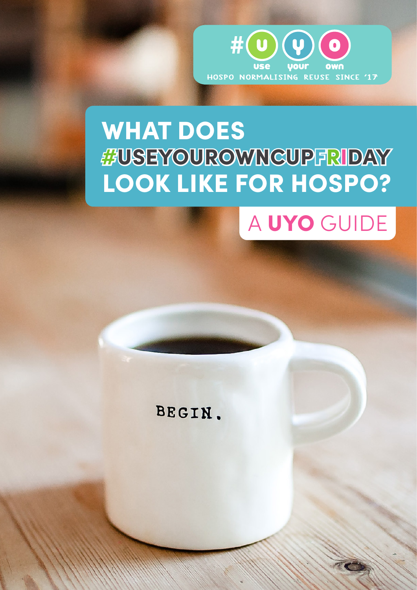

### WHAT DOES #USEYOUROWNCUPFRIDAY LOOK LIKE FOR HOSPO?



BEGIN.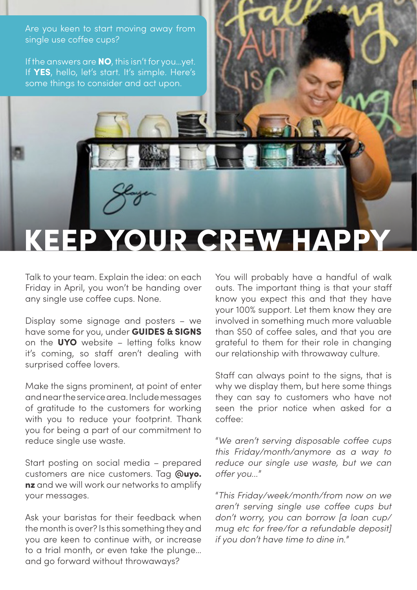Are you keen to start moving away from single use coffee cups?

If the answers are **NO**, this isn't for you...yet. If YES, hello, let's start. It's simple. Here's some things to consider and act upon.

### KEEP YOUR CREW H

Talk to your team. Explain the idea: on each Friday in April, you won't be handing over any single use coffee cups. None.

Display some signage and posters – we have some for you, under **GUIDES & SIGNS** on the UYO website – letting folks know it's coming, so staff aren't dealing with surprised coffee lovers.

Make the signs prominent, at point of enter and near the service area. Include messages of gratitude to the customers for working with you to reduce your footprint. Thank you for being a part of our commitment to reduce single use waste.

Start posting on social media – prepared customers are nice customers. Tag @uyo. nz and we will work our networks to amplify your messages.

Ask your baristas for their feedback when the month is over? Is this something they and you are keen to continue with, or increase to a trial month, or even take the plunge… and go forward without throwaways?

You will probably have a handful of walk outs. The important thing is that your staff know you expect this and that they have your 100% support. Let them know they are involved in something much more valuable than \$50 of coffee sales, and that you are grateful to them for their role in changing our relationship with throwaway culture.

Staff can always point to the signs, that is why we display them, but here some things they can say to customers who have not seen the prior notice when asked for a coffee:

"*We aren't serving disposable coffee cups this Friday/month/anymore as a way to reduce our single use waste, but we can offer you...*"

"*This Friday/week/month/from now on we aren't serving single use coffee cups but don't worry, you can borrow [a loan cup/ mug etc for free/for a refundable deposit] if you don't have time to dine in.*"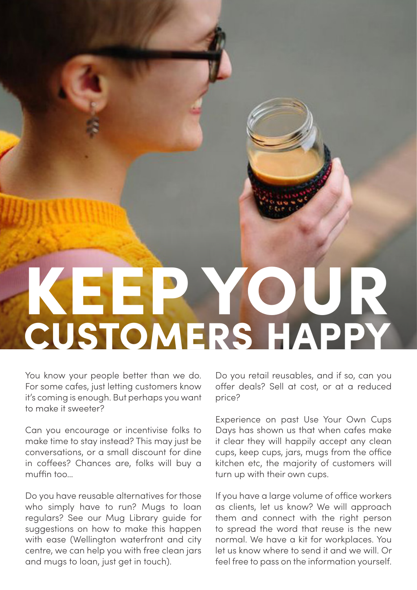## KEEP YOUR CUSTOMERS HAPPY

You know your people better than we do. For some cafes, just letting customers know it's coming is enough. But perhaps you want to make it sweeter?

Can you encourage or incentivise folks to make time to stay instead? This may just be conversations, or a small discount for dine in coffees? Chances are, folks will buy a muffin too…

Do you have reusable alternatives for those who simply have to run? Mugs to loan regulars? See our Mug Library guide for suggestions on how to make this happen with ease (Wellington waterfront and city centre, we can help you with free clean jars and mugs to loan, just get in touch).

Do you retail reusables, and if so, can you offer deals? Sell at cost, or at a reduced price?

Experience on past Use Your Own Cups Days has shown us that when cafes make it clear they will happily accept any clean cups, keep cups, jars, mugs from the office kitchen etc, the majority of customers will turn up with their own cups.

If you have a large volume of office workers as clients, let us know? We will approach them and connect with the right person to spread the word that reuse is the new normal. We have a kit for workplaces. You let us know where to send it and we will. Or feel free to pass on the information yourself.